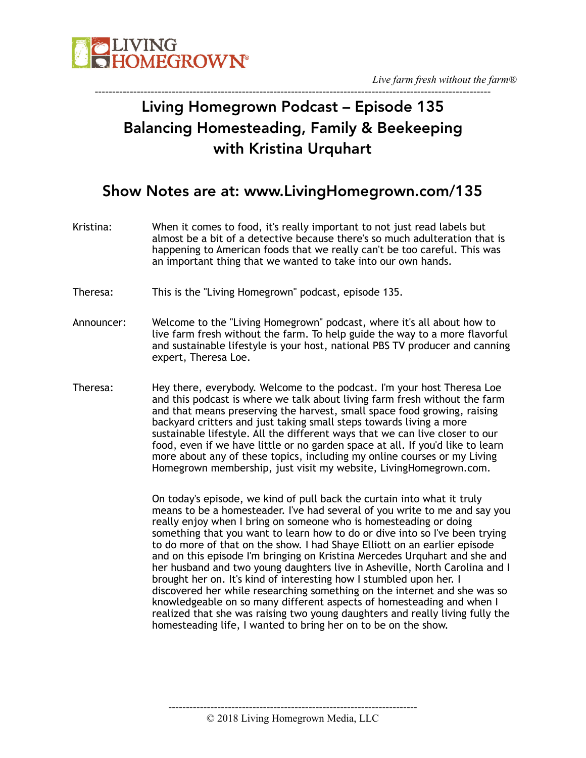

#### ----------------------------------------------------------------------------------------------------------------- Living Homegrown Podcast – Episode 135 Balancing Homesteading, Family & Beekeeping with Kristina Urquhart

#### Show Notes are at: www.LivingHomegrown.com/135

- Kristina: When it comes to food, it's really important to not just read labels but almost be a bit of a detective because there's so much adulteration that is happening to American foods that we really can't be too careful. This was an important thing that we wanted to take into our own hands.
- Theresa: This is the "Living Homegrown" podcast, episode 135.
- Announcer: Welcome to the "Living Homegrown" podcast, where it's all about how to live farm fresh without the farm. To help guide the way to a more flavorful and sustainable lifestyle is your host, national PBS TV producer and canning expert, Theresa Loe.
- Theresa: Hey there, everybody. Welcome to the podcast. I'm your host Theresa Loe and this podcast is where we talk about living farm fresh without the farm and that means preserving the harvest, small space food growing, raising backyard critters and just taking small steps towards living a more sustainable lifestyle. All the different ways that we can live closer to our food, even if we have little or no garden space at all. If you'd like to learn more about any of these topics, including my online courses or my Living Homegrown membership, just visit my website, LivingHomegrown.com.

On today's episode, we kind of pull back the curtain into what it truly means to be a homesteader. I've had several of you write to me and say you really enjoy when I bring on someone who is homesteading or doing something that you want to learn how to do or dive into so I've been trying to do more of that on the show. I had Shaye Elliott on an earlier episode and on this episode I'm bringing on Kristina Mercedes Urquhart and she and her husband and two young daughters live in Asheville, North Carolina and I brought her on. It's kind of interesting how I stumbled upon her. I discovered her while researching something on the internet and she was so knowledgeable on so many different aspects of homesteading and when I realized that she was raising two young daughters and really living fully the homesteading life, I wanted to bring her on to be on the show.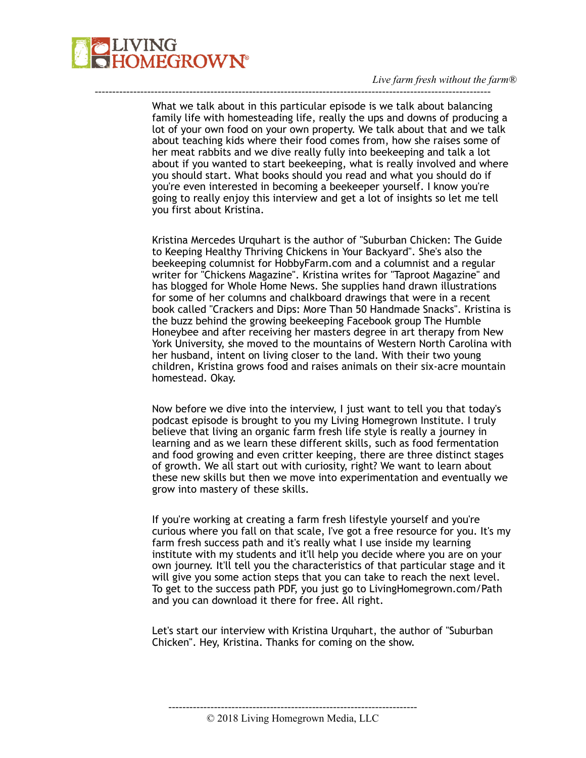

What we talk about in this particular episode is we talk about balancing family life with homesteading life, really the ups and downs of producing a lot of your own food on your own property. We talk about that and we talk about teaching kids where their food comes from, how she raises some of her meat rabbits and we dive really fully into beekeeping and talk a lot about if you wanted to start beekeeping, what is really involved and where you should start. What books should you read and what you should do if you're even interested in becoming a beekeeper yourself. I know you're going to really enjoy this interview and get a lot of insights so let me tell you first about Kristina.

-----------------------------------------------------------------------------------------------------------------

Kristina Mercedes Urquhart is the author of "Suburban Chicken: The Guide to Keeping Healthy Thriving Chickens in Your Backyard". She's also the beekeeping columnist for HobbyFarm.com and a columnist and a regular writer for "Chickens Magazine". Kristina writes for "Taproot Magazine" and has blogged for Whole Home News. She supplies hand drawn illustrations for some of her columns and chalkboard drawings that were in a recent book called "Crackers and Dips: More Than 50 Handmade Snacks". Kristina is the buzz behind the growing beekeeping Facebook group The Humble Honeybee and after receiving her masters degree in art therapy from New York University, she moved to the mountains of Western North Carolina with her husband, intent on living closer to the land. With their two young children, Kristina grows food and raises animals on their six-acre mountain homestead. Okay.

Now before we dive into the interview, I just want to tell you that today's podcast episode is brought to you my Living Homegrown Institute. I truly believe that living an organic farm fresh life style is really a journey in learning and as we learn these different skills, such as food fermentation and food growing and even critter keeping, there are three distinct stages of growth. We all start out with curiosity, right? We want to learn about these new skills but then we move into experimentation and eventually we grow into mastery of these skills.

If you're working at creating a farm fresh lifestyle yourself and you're curious where you fall on that scale, I've got a free resource for you. It's my farm fresh success path and it's really what I use inside my learning institute with my students and it'll help you decide where you are on your own journey. It'll tell you the characteristics of that particular stage and it will give you some action steps that you can take to reach the next level. To get to the success path PDF, you just go to LivingHomegrown.com/Path and you can download it there for free. All right.

Let's start our interview with Kristina Urquhart, the author of "Suburban Chicken". Hey, Kristina. Thanks for coming on the show.

<sup>-----------------------------------------------------------------------</sup>  © 2018 Living Homegrown Media, LLC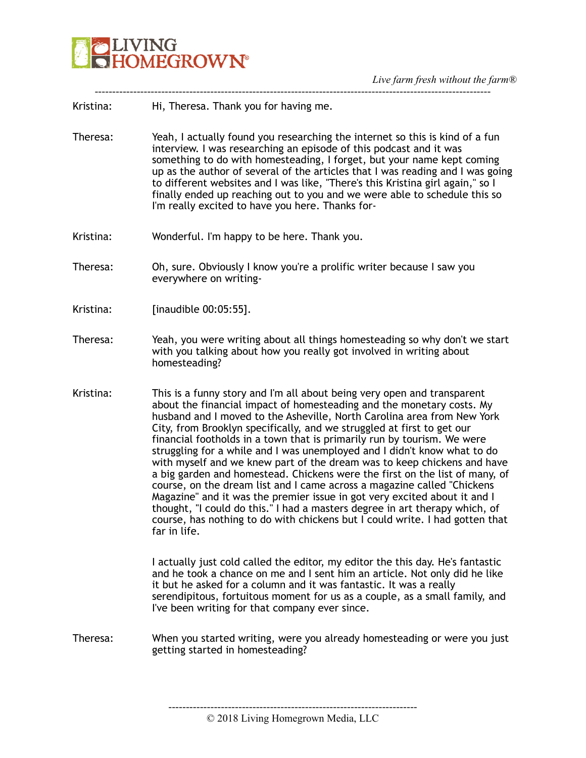

| Kristina: |                                       |  |  |  |
|-----------|---------------------------------------|--|--|--|
|           | Hi, Theresa. Thank you for having me. |  |  |  |

Theresa: Yeah, I actually found you researching the internet so this is kind of a fun interview. I was researching an episode of this podcast and it was something to do with homesteading, I forget, but your name kept coming up as the author of several of the articles that I was reading and I was going to different websites and I was like, "There's this Kristina girl again," so I finally ended up reaching out to you and we were able to schedule this so I'm really excited to have you here. Thanks for-

-----------------------------------------------------------------------------------------------------------------

- Kristina: Wonderful. I'm happy to be here. Thank you.
- Theresa: Oh, sure. Obviously I know you're a prolific writer because I saw you everywhere on writing-
- Kristina: [inaudible 00:05:55].
- Theresa: Yeah, you were writing about all things homesteading so why don't we start with you talking about how you really got involved in writing about homesteading?
- Kristina: This is a funny story and I'm all about being very open and transparent about the financial impact of homesteading and the monetary costs. My husband and I moved to the Asheville, North Carolina area from New York City, from Brooklyn specifically, and we struggled at first to get our financial footholds in a town that is primarily run by tourism. We were struggling for a while and I was unemployed and I didn't know what to do with myself and we knew part of the dream was to keep chickens and have a big garden and homestead. Chickens were the first on the list of many, of course, on the dream list and I came across a magazine called "Chickens Magazine" and it was the premier issue in got very excited about it and I thought, "I could do this." I had a masters degree in art therapy which, of course, has nothing to do with chickens but I could write. I had gotten that far in life.

I actually just cold called the editor, my editor the this day. He's fantastic and he took a chance on me and I sent him an article. Not only did he like it but he asked for a column and it was fantastic. It was a really serendipitous, fortuitous moment for us as a couple, as a small family, and I've been writing for that company ever since.

-----------------------------------------------------------------------

Theresa: When you started writing, were you already homesteading or were you just getting started in homesteading?

<sup>© 2018</sup> Living Homegrown Media, LLC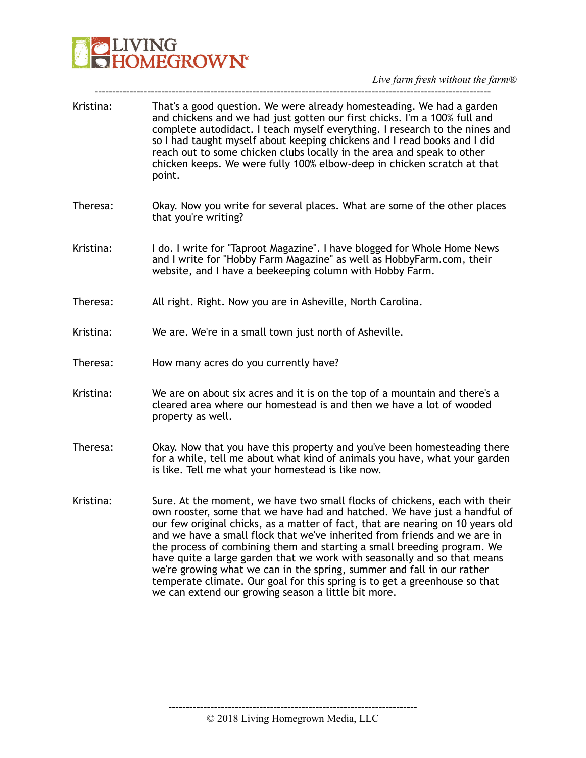

| Kristina: | That's a good question. We were already homesteading. We had a garden<br>and chickens and we had just gotten our first chicks. I'm a 100% full and<br>complete autodidact. I teach myself everything. I research to the nines and<br>so I had taught myself about keeping chickens and I read books and I did<br>reach out to some chicken clubs locally in the area and speak to other<br>chicken keeps. We were fully 100% elbow-deep in chicken scratch at that<br>point.                                                                                                                                                                                                                 |
|-----------|----------------------------------------------------------------------------------------------------------------------------------------------------------------------------------------------------------------------------------------------------------------------------------------------------------------------------------------------------------------------------------------------------------------------------------------------------------------------------------------------------------------------------------------------------------------------------------------------------------------------------------------------------------------------------------------------|
| Theresa:  | Okay. Now you write for several places. What are some of the other places<br>that you're writing?                                                                                                                                                                                                                                                                                                                                                                                                                                                                                                                                                                                            |
| Kristina: | I do. I write for "Taproot Magazine". I have blogged for Whole Home News<br>and I write for "Hobby Farm Magazine" as well as HobbyFarm.com, their<br>website, and I have a beekeeping column with Hobby Farm.                                                                                                                                                                                                                                                                                                                                                                                                                                                                                |
| Theresa:  | All right. Right. Now you are in Asheville, North Carolina.                                                                                                                                                                                                                                                                                                                                                                                                                                                                                                                                                                                                                                  |
| Kristina: | We are. We're in a small town just north of Asheville.                                                                                                                                                                                                                                                                                                                                                                                                                                                                                                                                                                                                                                       |
| Theresa:  | How many acres do you currently have?                                                                                                                                                                                                                                                                                                                                                                                                                                                                                                                                                                                                                                                        |
| Kristina: | We are on about six acres and it is on the top of a mountain and there's a<br>cleared area where our homestead is and then we have a lot of wooded<br>property as well.                                                                                                                                                                                                                                                                                                                                                                                                                                                                                                                      |
| Theresa:  | Okay. Now that you have this property and you've been homesteading there<br>for a while, tell me about what kind of animals you have, what your garden<br>is like. Tell me what your homestead is like now.                                                                                                                                                                                                                                                                                                                                                                                                                                                                                  |
| Kristina: | Sure. At the moment, we have two small flocks of chickens, each with their<br>own rooster, some that we have had and hatched. We have just a handful of<br>our few original chicks, as a matter of fact, that are nearing on 10 years old<br>and we have a small flock that we've inherited from friends and we are in<br>the process of combining them and starting a small breeding program. We<br>have quite a large garden that we work with seasonally and so that means<br>we're growing what we can in the spring, summer and fall in our rather<br>temperate climate. Our goal for this spring is to get a greenhouse so that<br>we can extend our growing season a little bit more. |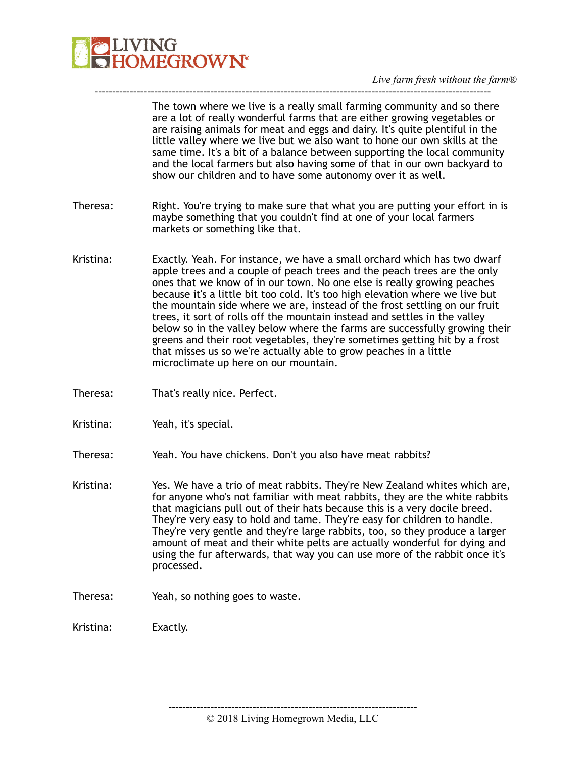

The town where we live is a really small farming community and so there are a lot of really wonderful farms that are either growing vegetables or are raising animals for meat and eggs and dairy. It's quite plentiful in the little valley where we live but we also want to hone our own skills at the same time. It's a bit of a balance between supporting the local community and the local farmers but also having some of that in our own backyard to show our children and to have some autonomy over it as well.

Theresa: Right. You're trying to make sure that what you are putting your effort in is maybe something that you couldn't find at one of your local farmers markets or something like that.

-----------------------------------------------------------------------------------------------------------------

- Kristina: Exactly. Yeah. For instance, we have a small orchard which has two dwarf apple trees and a couple of peach trees and the peach trees are the only ones that we know of in our town. No one else is really growing peaches because it's a little bit too cold. It's too high elevation where we live but the mountain side where we are, instead of the frost settling on our fruit trees, it sort of rolls off the mountain instead and settles in the valley below so in the valley below where the farms are successfully growing their greens and their root vegetables, they're sometimes getting hit by a frost that misses us so we're actually able to grow peaches in a little microclimate up here on our mountain.
- Theresa: That's really nice. Perfect.
- Kristina: Yeah, it's special.
- Theresa: Yeah. You have chickens. Don't you also have meat rabbits?
- Kristina: Yes. We have a trio of meat rabbits. They're New Zealand whites which are, for anyone who's not familiar with meat rabbits, they are the white rabbits that magicians pull out of their hats because this is a very docile breed. They're very easy to hold and tame. They're easy for children to handle. They're very gentle and they're large rabbits, too, so they produce a larger amount of meat and their white pelts are actually wonderful for dying and using the fur afterwards, that way you can use more of the rabbit once it's processed.
- Theresa: Yeah, so nothing goes to waste.

Kristina: Exactly.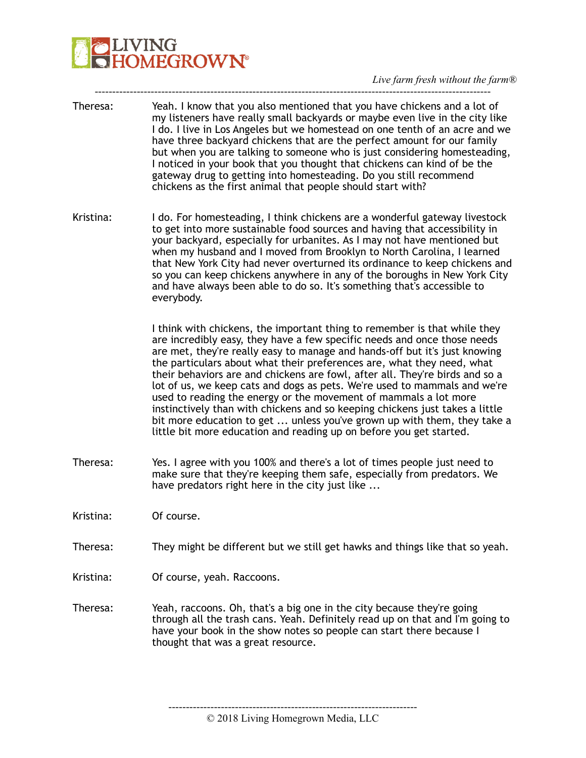*Live farm fresh without the farm®* 

Theresa: Yeah. I know that you also mentioned that you have chickens and a lot of my listeners have really small backyards or maybe even live in the city like I do. I live in Los Angeles but we homestead on one tenth of an acre and we have three backyard chickens that are the perfect amount for our family but when you are talking to someone who is just considering homesteading, I noticed in your book that you thought that chickens can kind of be the gateway drug to getting into homesteading. Do you still recommend chickens as the first animal that people should start with?

-----------------------------------------------------------------------------------------------------------------

Kristina: I do. For homesteading, I think chickens are a wonderful gateway livestock to get into more sustainable food sources and having that accessibility in your backyard, especially for urbanites. As I may not have mentioned but when my husband and I moved from Brooklyn to North Carolina, I learned that New York City had never overturned its ordinance to keep chickens and so you can keep chickens anywhere in any of the boroughs in New York City and have always been able to do so. It's something that's accessible to everybody.

> I think with chickens, the important thing to remember is that while they are incredibly easy, they have a few specific needs and once those needs are met, they're really easy to manage and hands-off but it's just knowing the particulars about what their preferences are, what they need, what their behaviors are and chickens are fowl, after all. They're birds and so a lot of us, we keep cats and dogs as pets. We're used to mammals and we're used to reading the energy or the movement of mammals a lot more instinctively than with chickens and so keeping chickens just takes a little bit more education to get ... unless you've grown up with them, they take a little bit more education and reading up on before you get started.

- Theresa: Yes. I agree with you 100% and there's a lot of times people just need to make sure that they're keeping them safe, especially from predators. We have predators right here in the city just like ...
- Kristina: Of course.
- Theresa: They might be different but we still get hawks and things like that so yeah.
- Kristina: Of course, yeah. Raccoons.
- Theresa: Yeah, raccoons. Oh, that's a big one in the city because they're going through all the trash cans. Yeah. Definitely read up on that and I'm going to have your book in the show notes so people can start there because I thought that was a great resource.

<sup>© 2018</sup> Living Homegrown Media, LLC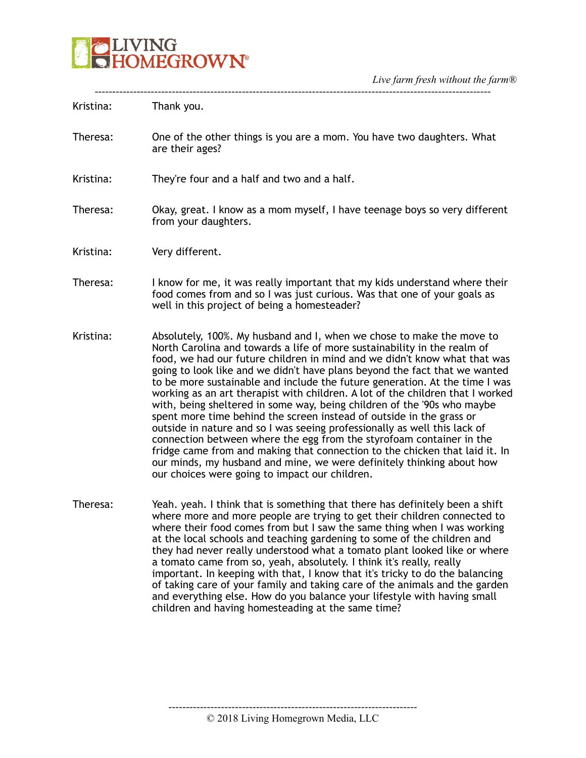

| Kristina: | Thank you.                                                                                                                                                                                                                                                                                                                                                                                                                                                                                                                                                                                                                                                                                                                                                                                                                                                                                                                                                                                      |
|-----------|-------------------------------------------------------------------------------------------------------------------------------------------------------------------------------------------------------------------------------------------------------------------------------------------------------------------------------------------------------------------------------------------------------------------------------------------------------------------------------------------------------------------------------------------------------------------------------------------------------------------------------------------------------------------------------------------------------------------------------------------------------------------------------------------------------------------------------------------------------------------------------------------------------------------------------------------------------------------------------------------------|
| Theresa:  | One of the other things is you are a mom. You have two daughters. What<br>are their ages?                                                                                                                                                                                                                                                                                                                                                                                                                                                                                                                                                                                                                                                                                                                                                                                                                                                                                                       |
| Kristina: | They're four and a half and two and a half.                                                                                                                                                                                                                                                                                                                                                                                                                                                                                                                                                                                                                                                                                                                                                                                                                                                                                                                                                     |
| Theresa:  | Okay, great. I know as a mom myself, I have teenage boys so very different<br>from your daughters.                                                                                                                                                                                                                                                                                                                                                                                                                                                                                                                                                                                                                                                                                                                                                                                                                                                                                              |
| Kristina: | Very different.                                                                                                                                                                                                                                                                                                                                                                                                                                                                                                                                                                                                                                                                                                                                                                                                                                                                                                                                                                                 |
| Theresa:  | I know for me, it was really important that my kids understand where their<br>food comes from and so I was just curious. Was that one of your goals as<br>well in this project of being a homesteader?                                                                                                                                                                                                                                                                                                                                                                                                                                                                                                                                                                                                                                                                                                                                                                                          |
| Kristina: | Absolutely, 100%. My husband and I, when we chose to make the move to<br>North Carolina and towards a life of more sustainability in the realm of<br>food, we had our future children in mind and we didn't know what that was<br>going to look like and we didn't have plans beyond the fact that we wanted<br>to be more sustainable and include the future generation. At the time I was<br>working as an art therapist with children. A lot of the children that I worked<br>with, being sheltered in some way, being children of the '90s who maybe<br>spent more time behind the screen instead of outside in the grass or<br>outside in nature and so I was seeing professionally as well this lack of<br>connection between where the egg from the styrofoam container in the<br>fridge came from and making that connection to the chicken that laid it. In<br>our minds, my husband and mine, we were definitely thinking about how<br>our choices were going to impact our children. |
| Theresa:  | Yeah. yeah. I think that is something that there has definitely been a shift<br>where more and more people are trying to get their children connected to<br>where their food comes from but I saw the same thing when I was working<br>at the local schools and teaching gardening to some of the children and<br>they had never really understood what a tomato plant looked like or where<br>a tomato came from so, yeah, absolutely. I think it's really, really<br>important. In keeping with that, I know that it's tricky to do the balancing<br>of taking care of your family and taking care of the animals and the garden<br>and everything else. How do you balance your lifestyle with having small                                                                                                                                                                                                                                                                                  |

----------------------------------------------------------------------- © 2018 Living Homegrown Media, LLC

children and having homesteading at the same time?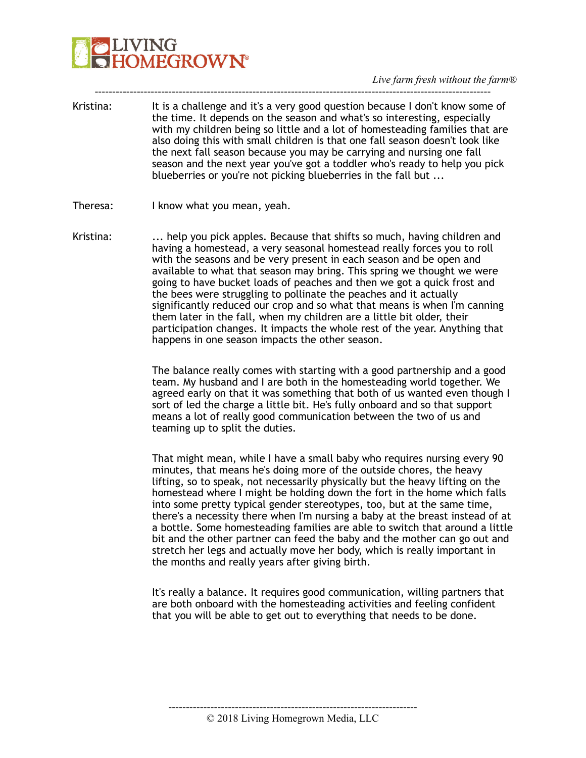*Live farm fresh without the farm®* 

Kristina: It is a challenge and it's a very good question because I don't know some of the time. It depends on the season and what's so interesting, especially with my children being so little and a lot of homesteading families that are also doing this with small children is that one fall season doesn't look like the next fall season because you may be carrying and nursing one fall season and the next year you've got a toddler who's ready to help you pick blueberries or you're not picking blueberries in the fall but ...

-----------------------------------------------------------------------------------------------------------------

- Theresa: I know what you mean, yeah.
- Kristina: ... help you pick apples. Because that shifts so much, having children and having a homestead, a very seasonal homestead really forces you to roll with the seasons and be very present in each season and be open and available to what that season may bring. This spring we thought we were going to have bucket loads of peaches and then we got a quick frost and the bees were struggling to pollinate the peaches and it actually significantly reduced our crop and so what that means is when I'm canning them later in the fall, when my children are a little bit older, their participation changes. It impacts the whole rest of the year. Anything that happens in one season impacts the other season.

The balance really comes with starting with a good partnership and a good team. My husband and I are both in the homesteading world together. We agreed early on that it was something that both of us wanted even though I sort of led the charge a little bit. He's fully onboard and so that support means a lot of really good communication between the two of us and teaming up to split the duties.

That might mean, while I have a small baby who requires nursing every 90 minutes, that means he's doing more of the outside chores, the heavy lifting, so to speak, not necessarily physically but the heavy lifting on the homestead where I might be holding down the fort in the home which falls into some pretty typical gender stereotypes, too, but at the same time, there's a necessity there when I'm nursing a baby at the breast instead of at a bottle. Some homesteading families are able to switch that around a little bit and the other partner can feed the baby and the mother can go out and stretch her legs and actually move her body, which is really important in the months and really years after giving birth.

It's really a balance. It requires good communication, willing partners that are both onboard with the homesteading activities and feeling confident that you will be able to get out to everything that needs to be done.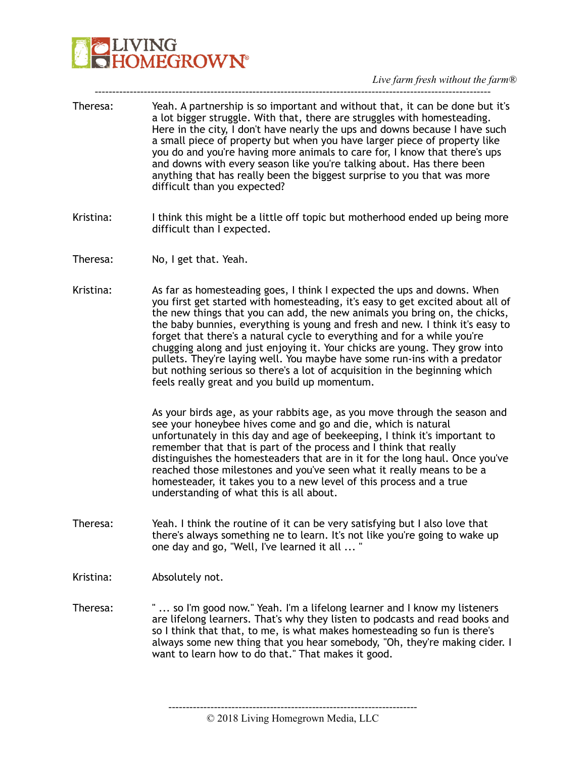

Theresa: Yeah. A partnership is so important and without that, it can be done but it's a lot bigger struggle. With that, there are struggles with homesteading. Here in the city, I don't have nearly the ups and downs because I have such a small piece of property but when you have larger piece of property like you do and you're having more animals to care for, I know that there's ups and downs with every season like you're talking about. Has there been anything that has really been the biggest surprise to you that was more difficult than you expected?

-----------------------------------------------------------------------------------------------------------------

- Kristina: I think this might be a little off topic but motherhood ended up being more difficult than I expected.
- Theresa: No, I get that. Yeah.
- Kristina: As far as homesteading goes, I think I expected the ups and downs. When you first get started with homesteading, it's easy to get excited about all of the new things that you can add, the new animals you bring on, the chicks, the baby bunnies, everything is young and fresh and new. I think it's easy to forget that there's a natural cycle to everything and for a while you're chugging along and just enjoying it. Your chicks are young. They grow into pullets. They're laying well. You maybe have some run-ins with a predator but nothing serious so there's a lot of acquisition in the beginning which feels really great and you build up momentum.

As your birds age, as your rabbits age, as you move through the season and see your honeybee hives come and go and die, which is natural unfortunately in this day and age of beekeeping, I think it's important to remember that that is part of the process and I think that really distinguishes the homesteaders that are in it for the long haul. Once you've reached those milestones and you've seen what it really means to be a homesteader, it takes you to a new level of this process and a true understanding of what this is all about.

- Theresa: Yeah. I think the routine of it can be very satisfying but I also love that there's always something ne to learn. It's not like you're going to wake up one day and go, "Well, I've learned it all ... "
- Kristina: Absolutely not.
- Theresa: " ... so I'm good now." Yeah. I'm a lifelong learner and I know my listeners are lifelong learners. That's why they listen to podcasts and read books and so I think that that, to me, is what makes homesteading so fun is there's always some new thing that you hear somebody, "Oh, they're making cider. I want to learn how to do that." That makes it good.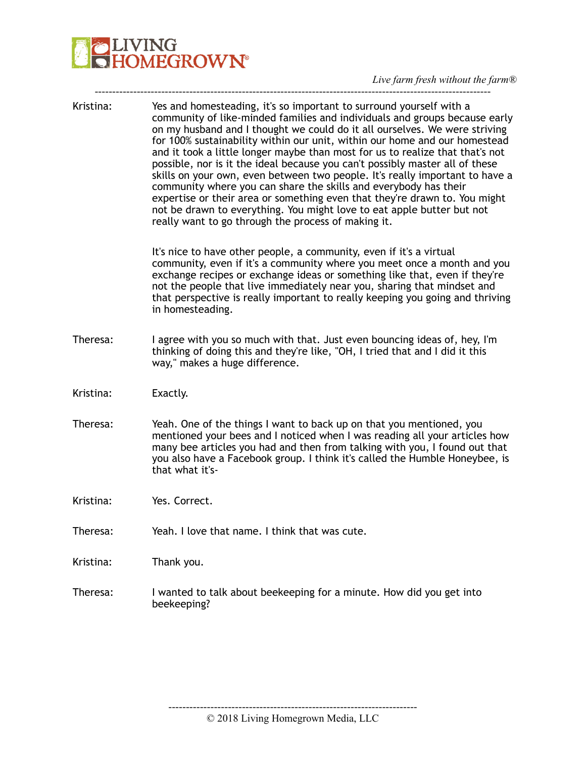# **DENANG**<br>**CHOMEGROWN**

*Live farm fresh without the farm®* 

| Kristina: | Yes and homesteading, it's so important to surround yourself with a<br>community of like-minded families and individuals and groups because early<br>on my husband and I thought we could do it all ourselves. We were striving<br>for 100% sustainability within our unit, within our home and our homestead<br>and it took a little longer maybe than most for us to realize that that's not<br>possible, nor is it the ideal because you can't possibly master all of these<br>skills on your own, even between two people. It's really important to have a<br>community where you can share the skills and everybody has their<br>expertise or their area or something even that they're drawn to. You might<br>not be drawn to everything. You might love to eat apple butter but not<br>really want to go through the process of making it. |
|-----------|---------------------------------------------------------------------------------------------------------------------------------------------------------------------------------------------------------------------------------------------------------------------------------------------------------------------------------------------------------------------------------------------------------------------------------------------------------------------------------------------------------------------------------------------------------------------------------------------------------------------------------------------------------------------------------------------------------------------------------------------------------------------------------------------------------------------------------------------------|
|           | It's nice to have other people, a community, even if it's a virtual<br>community, even if it's a community where you meet once a month and you<br>exchange recipes or exchange ideas or something like that, even if they're<br>not the people that live immediately near you, sharing that mindset and<br>that perspective is really important to really keeping you going and thriving<br>in homesteading.                                                                                                                                                                                                                                                                                                                                                                                                                                      |
| Theresa:  | I agree with you so much with that. Just even bouncing ideas of, hey, I'm<br>thinking of doing this and they're like, "OH, I tried that and I did it this<br>way," makes a huge difference.                                                                                                                                                                                                                                                                                                                                                                                                                                                                                                                                                                                                                                                       |
| Kristina: | Exactly.                                                                                                                                                                                                                                                                                                                                                                                                                                                                                                                                                                                                                                                                                                                                                                                                                                          |
| Theresa:  | Yeah. One of the things I want to back up on that you mentioned, you<br>mentioned your bees and I noticed when I was reading all your articles how<br>many bee articles you had and then from talking with you, I found out that<br>you also have a Facebook group. I think it's called the Humble Honeybee, is<br>that what it's-                                                                                                                                                                                                                                                                                                                                                                                                                                                                                                                |
| Kristina: | Yes. Correct.                                                                                                                                                                                                                                                                                                                                                                                                                                                                                                                                                                                                                                                                                                                                                                                                                                     |
| Theresa:  | Yeah. I love that name. I think that was cute.                                                                                                                                                                                                                                                                                                                                                                                                                                                                                                                                                                                                                                                                                                                                                                                                    |
| Kristina: | Thank you.                                                                                                                                                                                                                                                                                                                                                                                                                                                                                                                                                                                                                                                                                                                                                                                                                                        |
| Theresa:  | I wanted to talk about beekeeping for a minute. How did you get into<br>beekeeping?                                                                                                                                                                                                                                                                                                                                                                                                                                                                                                                                                                                                                                                                                                                                                               |
|           |                                                                                                                                                                                                                                                                                                                                                                                                                                                                                                                                                                                                                                                                                                                                                                                                                                                   |

© 2018 Living Homegrown Media, LLC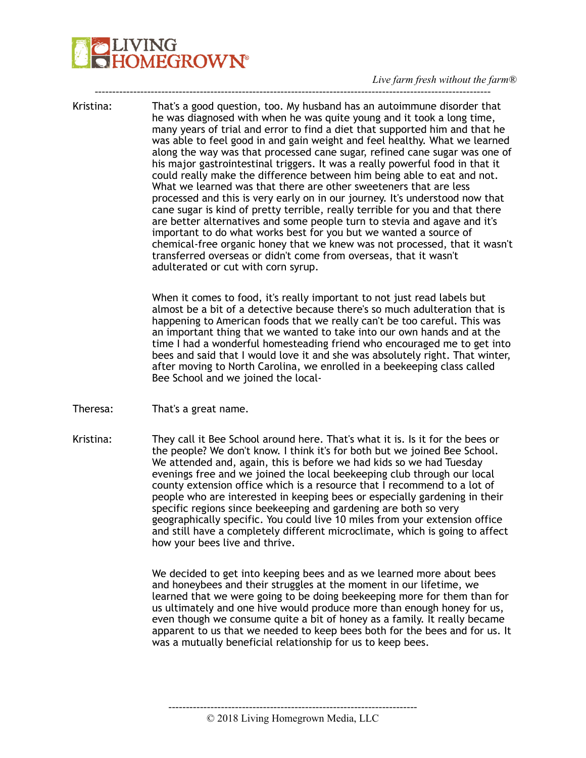*Live farm fresh without the farm®* 

Kristina: That's a good question, too. My husband has an autoimmune disorder that he was diagnosed with when he was quite young and it took a long time, many years of trial and error to find a diet that supported him and that he was able to feel good in and gain weight and feel healthy. What we learned along the way was that processed cane sugar, refined cane sugar was one of his major gastrointestinal triggers. It was a really powerful food in that it could really make the difference between him being able to eat and not. What we learned was that there are other sweeteners that are less processed and this is very early on in our journey. It's understood now that cane sugar is kind of pretty terrible, really terrible for you and that there are better alternatives and some people turn to stevia and agave and it's important to do what works best for you but we wanted a source of chemical-free organic honey that we knew was not processed, that it wasn't transferred overseas or didn't come from overseas, that it wasn't adulterated or cut with corn syrup.

-----------------------------------------------------------------------------------------------------------------

When it comes to food, it's really important to not just read labels but almost be a bit of a detective because there's so much adulteration that is happening to American foods that we really can't be too careful. This was an important thing that we wanted to take into our own hands and at the time I had a wonderful homesteading friend who encouraged me to get into bees and said that I would love it and she was absolutely right. That winter, after moving to North Carolina, we enrolled in a beekeeping class called Bee School and we joined the local-

- Theresa: That's a great name.
- Kristina: They call it Bee School around here. That's what it is. Is it for the bees or the people? We don't know. I think it's for both but we joined Bee School. We attended and, again, this is before we had kids so we had Tuesday evenings free and we joined the local beekeeping club through our local county extension office which is a resource that I recommend to a lot of people who are interested in keeping bees or especially gardening in their specific regions since beekeeping and gardening are both so very geographically specific. You could live 10 miles from your extension office and still have a completely different microclimate, which is going to affect how your bees live and thrive.

We decided to get into keeping bees and as we learned more about bees and honeybees and their struggles at the moment in our lifetime, we learned that we were going to be doing beekeeping more for them than for us ultimately and one hive would produce more than enough honey for us, even though we consume quite a bit of honey as a family. It really became apparent to us that we needed to keep bees both for the bees and for us. It was a mutually beneficial relationship for us to keep bees.

<sup>© 2018</sup> Living Homegrown Media, LLC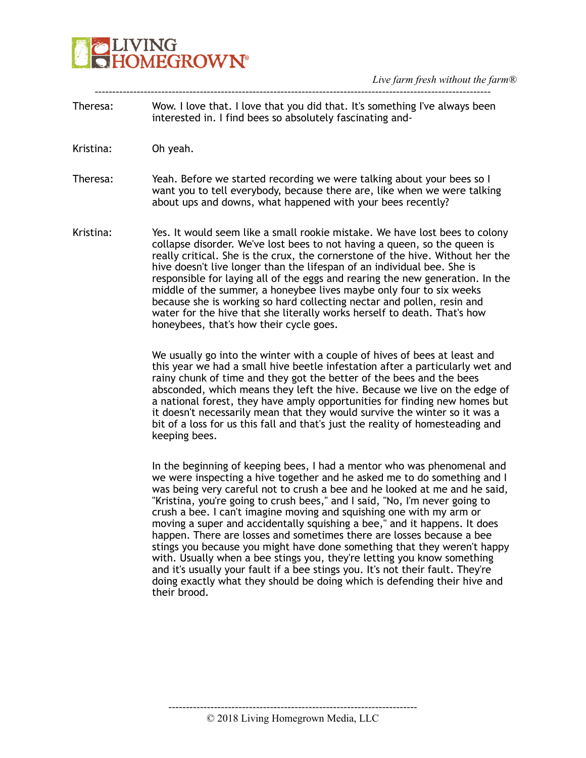Theresa: Wow. I love that. I love that you did that. It's something I've always been interested in. I find bees so absolutely fascinating and-

-----------------------------------------------------------------------------------------------------------------

- Kristina: Oh yeah.
- Theresa: Yeah. Before we started recording we were talking about your bees so I want you to tell everybody, because there are, like when we were talking about ups and downs, what happened with your bees recently?
- Kristina: Yes. It would seem like a small rookie mistake. We have lost bees to colony collapse disorder. We've lost bees to not having a queen, so the queen is really critical. She is the crux, the cornerstone of the hive. Without her the hive doesn't live longer than the lifespan of an individual bee. She is responsible for laying all of the eggs and rearing the new generation. In the middle of the summer, a honeybee lives maybe only four to six weeks because she is working so hard collecting nectar and pollen, resin and water for the hive that she literally works herself to death. That's how honeybees, that's how their cycle goes.

We usually go into the winter with a couple of hives of bees at least and this year we had a small hive beetle infestation after a particularly wet and rainy chunk of time and they got the better of the bees and the bees absconded, which means they left the hive. Because we live on the edge of a national forest, they have amply opportunities for finding new homes but it doesn't necessarily mean that they would survive the winter so it was a bit of a loss for us this fall and that's just the reality of homesteading and keeping bees.

In the beginning of keeping bees, I had a mentor who was phenomenal and we were inspecting a hive together and he asked me to do something and I was being very careful not to crush a bee and he looked at me and he said, "Kristina, you're going to crush bees," and I said, "No, I'm never going to crush a bee. I can't imagine moving and squishing one with my arm or moving a super and accidentally squishing a bee," and it happens. It does happen. There are losses and sometimes there are losses because a bee stings you because you might have done something that they weren't happy with. Usually when a bee stings you, they're letting you know something and it's usually your fault if a bee stings you. It's not their fault. They're doing exactly what they should be doing which is defending their hive and their brood.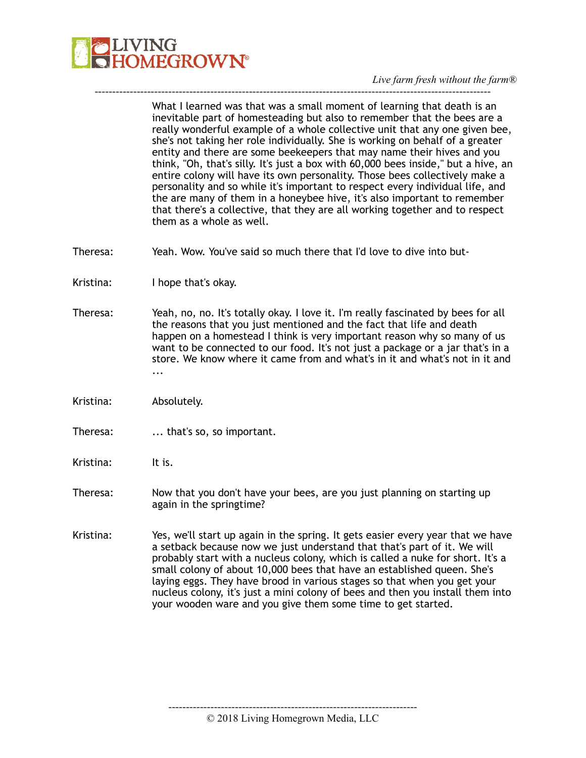

What I learned was that was a small moment of learning that death is an inevitable part of homesteading but also to remember that the bees are a really wonderful example of a whole collective unit that any one given bee, she's not taking her role individually. She is working on behalf of a greater entity and there are some beekeepers that may name their hives and you think, "Oh, that's silly. It's just a box with 60,000 bees inside," but a hive, an entire colony will have its own personality. Those bees collectively make a personality and so while it's important to respect every individual life, and the are many of them in a honeybee hive, it's also important to remember that there's a collective, that they are all working together and to respect them as a whole as well.

- Theresa: Yeah. Wow. You've said so much there that I'd love to dive into but-
- Kristina: I hope that's okay.
- Theresa: Yeah, no, no. It's totally okay. I love it. I'm really fascinated by bees for all the reasons that you just mentioned and the fact that life and death happen on a homestead I think is very important reason why so many of us want to be connected to our food. It's not just a package or a jar that's in a store. We know where it came from and what's in it and what's not in it and ...

-----------------------------------------------------------------------------------------------------------------

- Kristina: Absolutely.
- Theresa: ... that's so, so important.
- Kristina: It is.
- Theresa: Now that you don't have your bees, are you just planning on starting up again in the springtime?
- Kristina: Yes, we'll start up again in the spring. It gets easier every year that we have a setback because now we just understand that that's part of it. We will probably start with a nucleus colony, which is called a nuke for short. It's a small colony of about 10,000 bees that have an established queen. She's laying eggs. They have brood in various stages so that when you get your nucleus colony, it's just a mini colony of bees and then you install them into your wooden ware and you give them some time to get started.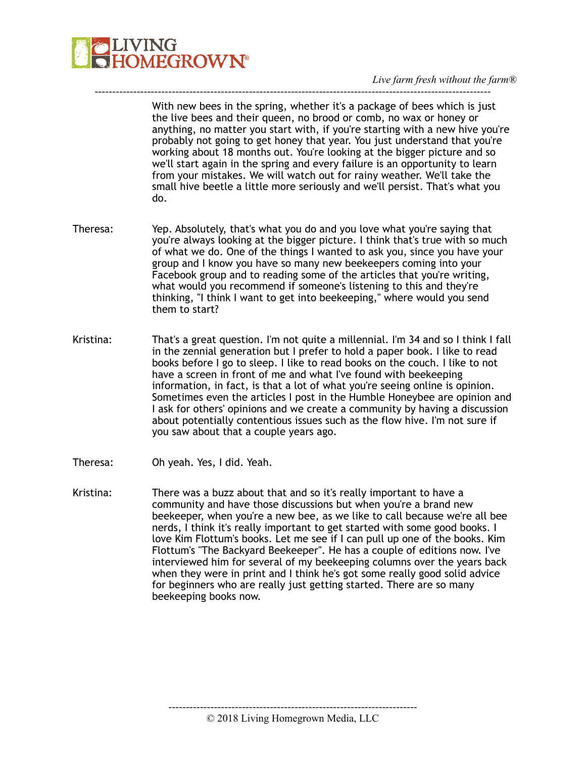

With new bees in the spring, whether it's a package of bees which is just the live bees and their queen, no brood or comb, no wax or honey or anything, no matter you start with, if you're starting with a new hive you're probably not going to get honey that year. You just understand that you're working about 18 months out. You're looking at the bigger picture and so we'll start again in the spring and every failure is an opportunity to learn from your mistakes. We will watch out for rainy weather. We'll take the small hive beetle a little more seriously and we'll persist. That's what you do.

Theresa: Yep. Absolutely, that's what you do and you love what you're saying that you're always looking at the bigger picture. I think that's true with so much of what we do. One of the things I wanted to ask you, since you have your group and I know you have so many new beekeepers coming into your Facebook group and to reading some of the articles that you're writing, what would you recommend if someone's listening to this and they're thinking, "I think I want to get into beekeeping," where would you send them to start?

-----------------------------------------------------------------------------------------------------------------

- Kristina: That's a great question. I'm not quite a millennial. I'm 34 and so I think I fall in the zennial generation but I prefer to hold a paper book. I like to read books before I go to sleep. I like to read books on the couch. I like to not have a screen in front of me and what I've found with beekeeping information, in fact, is that a lot of what you're seeing online is opinion. Sometimes even the articles I post in the Humble Honeybee are opinion and I ask for others' opinions and we create a community by having a discussion about potentially contentious issues such as the flow hive. I'm not sure if you saw about that a couple years ago.
- Theresa: Oh yeah. Yes, I did. Yeah.
- Kristina: There was a buzz about that and so it's really important to have a community and have those discussions but when you're a brand new beekeeper, when you're a new bee, as we like to call because we're all bee nerds, I think it's really important to get started with some good books. I love Kim Flottum's books. Let me see if I can pull up one of the books. Kim Flottum's "The Backyard Beekeeper". He has a couple of editions now. I've interviewed him for several of my beekeeping columns over the years back when they were in print and I think he's got some really good solid advice for beginners who are really just getting started. There are so many beekeeping books now.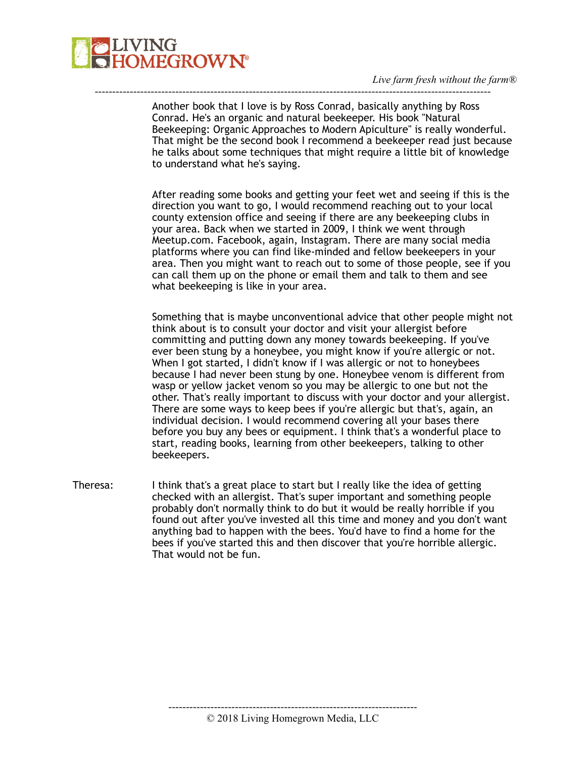

Another book that I love is by Ross Conrad, basically anything by Ross Conrad. He's an organic and natural beekeeper. His book "Natural Beekeeping: Organic Approaches to Modern Apiculture" is really wonderful. That might be the second book I recommend a beekeeper read just because he talks about some techniques that might require a little bit of knowledge to understand what he's saying.

-----------------------------------------------------------------------------------------------------------------

After reading some books and getting your feet wet and seeing if this is the direction you want to go, I would recommend reaching out to your local county extension office and seeing if there are any beekeeping clubs in your area. Back when we started in 2009, I think we went through Meetup.com. Facebook, again, Instagram. There are many social media platforms where you can find like-minded and fellow beekeepers in your area. Then you might want to reach out to some of those people, see if you can call them up on the phone or email them and talk to them and see what beekeeping is like in your area.

Something that is maybe unconventional advice that other people might not think about is to consult your doctor and visit your allergist before committing and putting down any money towards beekeeping. If you've ever been stung by a honeybee, you might know if you're allergic or not. When I got started, I didn't know if I was allergic or not to honeybees because I had never been stung by one. Honeybee venom is different from wasp or yellow jacket venom so you may be allergic to one but not the other. That's really important to discuss with your doctor and your allergist. There are some ways to keep bees if you're allergic but that's, again, an individual decision. I would recommend covering all your bases there before you buy any bees or equipment. I think that's a wonderful place to start, reading books, learning from other beekeepers, talking to other beekeepers.

Theresa: I think that's a great place to start but I really like the idea of getting checked with an allergist. That's super important and something people probably don't normally think to do but it would be really horrible if you found out after you've invested all this time and money and you don't want anything bad to happen with the bees. You'd have to find a home for the bees if you've started this and then discover that you're horrible allergic. That would not be fun.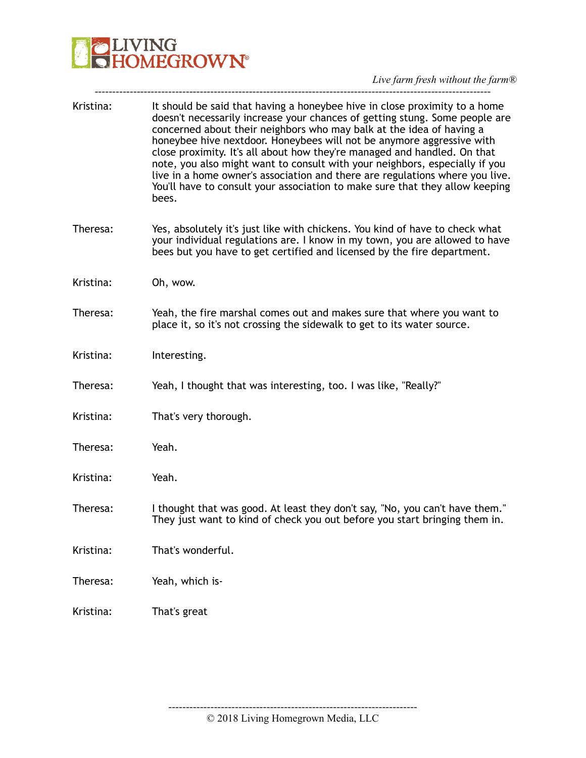# **DENANG**<br>**CHOMEGROWN**

*Live farm fresh without the farm®* 

| Kristina: | It should be said that having a honeybee hive in close proximity to a home<br>doesn't necessarily increase your chances of getting stung. Some people are<br>concerned about their neighbors who may balk at the idea of having a<br>honeybee hive nextdoor. Honeybees will not be anymore aggressive with<br>close proximity. It's all about how they're managed and handled. On that<br>note, you also might want to consult with your neighbors, especially if you<br>live in a home owner's association and there are regulations where you live.<br>You'll have to consult your association to make sure that they allow keeping<br>bees. |
|-----------|------------------------------------------------------------------------------------------------------------------------------------------------------------------------------------------------------------------------------------------------------------------------------------------------------------------------------------------------------------------------------------------------------------------------------------------------------------------------------------------------------------------------------------------------------------------------------------------------------------------------------------------------|
| Theresa:  | Yes, absolutely it's just like with chickens. You kind of have to check what<br>your individual regulations are. I know in my town, you are allowed to have<br>bees but you have to get certified and licensed by the fire department.                                                                                                                                                                                                                                                                                                                                                                                                         |
| Kristina: | Oh, wow.                                                                                                                                                                                                                                                                                                                                                                                                                                                                                                                                                                                                                                       |
| Theresa:  | Yeah, the fire marshal comes out and makes sure that where you want to<br>place it, so it's not crossing the sidewalk to get to its water source.                                                                                                                                                                                                                                                                                                                                                                                                                                                                                              |
| Kristina: | Interesting.                                                                                                                                                                                                                                                                                                                                                                                                                                                                                                                                                                                                                                   |
| Theresa:  | Yeah, I thought that was interesting, too. I was like, "Really?"                                                                                                                                                                                                                                                                                                                                                                                                                                                                                                                                                                               |
| Kristina: | That's very thorough.                                                                                                                                                                                                                                                                                                                                                                                                                                                                                                                                                                                                                          |
| Theresa:  | Yeah.                                                                                                                                                                                                                                                                                                                                                                                                                                                                                                                                                                                                                                          |
| Kristina: | Yeah.                                                                                                                                                                                                                                                                                                                                                                                                                                                                                                                                                                                                                                          |
| Theresa:  | I thought that was good. At least they don't say, "No, you can't have them."<br>They just want to kind of check you out before you start bringing them in.                                                                                                                                                                                                                                                                                                                                                                                                                                                                                     |
| Kristina: | That's wonderful.                                                                                                                                                                                                                                                                                                                                                                                                                                                                                                                                                                                                                              |
| Theresa:  | Yeah, which is-                                                                                                                                                                                                                                                                                                                                                                                                                                                                                                                                                                                                                                |
| Kristina: | That's great                                                                                                                                                                                                                                                                                                                                                                                                                                                                                                                                                                                                                                   |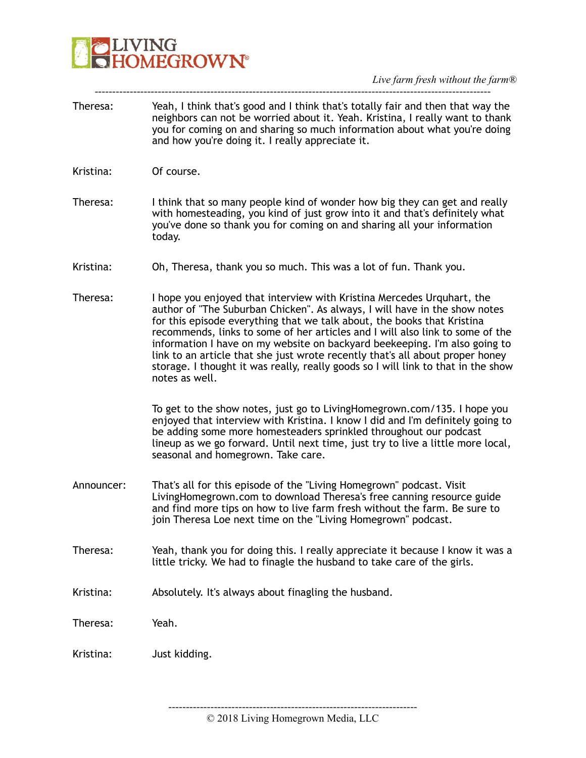

Theresa: Yeah, I think that's good and I think that's totally fair and then that way the neighbors can not be worried about it. Yeah. Kristina, I really want to thank you for coming on and sharing so much information about what you're doing and how you're doing it. I really appreciate it.

-----------------------------------------------------------------------------------------------------------------

- Kristina: Of course.
- Theresa: I think that so many people kind of wonder how big they can get and really with homesteading, you kind of just grow into it and that's definitely what you've done so thank you for coming on and sharing all your information today.
- Kristina: Oh, Theresa, thank you so much. This was a lot of fun. Thank you.
- Theresa: I hope you enjoyed that interview with Kristina Mercedes Urquhart, the author of "The Suburban Chicken". As always, I will have in the show notes for this episode everything that we talk about, the books that Kristina recommends, links to some of her articles and I will also link to some of the information I have on my website on backyard beekeeping. I'm also going to link to an article that she just wrote recently that's all about proper honey storage. I thought it was really, really goods so I will link to that in the show notes as well.

To get to the show notes, just go to LivingHomegrown.com/135. I hope you enjoyed that interview with Kristina. I know I did and I'm definitely going to be adding some more homesteaders sprinkled throughout our podcast lineup as we go forward. Until next time, just try to live a little more local, seasonal and homegrown. Take care.

- Announcer: That's all for this episode of the "Living Homegrown" podcast. Visit LivingHomegrown.com to download Theresa's free canning resource guide and find more tips on how to live farm fresh without the farm. Be sure to join Theresa Loe next time on the "Living Homegrown" podcast.
- Theresa: Yeah, thank you for doing this. I really appreciate it because I know it was a little tricky. We had to finagle the husband to take care of the girls.
- Kristina: Absolutely. It's always about finagling the husband.

Theresa: Yeah.

Kristina: Just kidding.